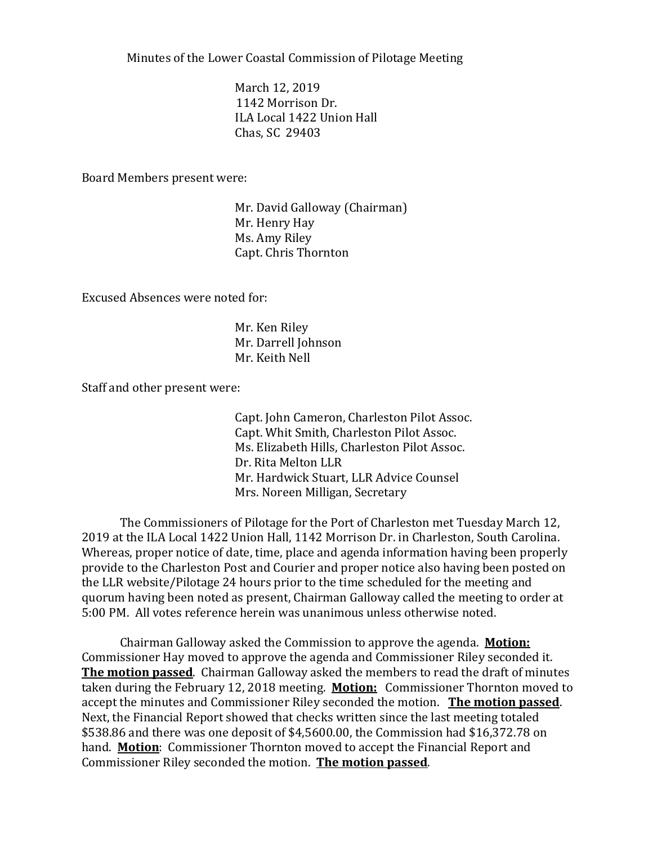Minutes of the Lower Coastal Commission of Pilotage Meeting

March 12, 2019 1142 Morrison Dr. ILA Local 1422 Union Hall Chas, SC 29403

Board Members present were:

Mr. David Galloway (Chairman) Mr. Henry Hay Ms. Amy Riley Capt. Chris Thornton

Excused Absences were noted for:

Mr. Ken Riley Mr. Darrell Johnson Mr. Keith Nell

Staff and other present were:

Capt. John Cameron, Charleston Pilot Assoc. Capt. Whit Smith, Charleston Pilot Assoc. Ms. Elizabeth Hills, Charleston Pilot Assoc. Dr. Rita Melton LLR Mr. Hardwick Stuart, LLR Advice Counsel Mrs. Noreen Milligan, Secretary

The Commissioners of Pilotage for the Port of Charleston met Tuesday March 12, 2019 at the ILA Local 1422 Union Hall, 1142 Morrison Dr. in Charleston, South Carolina. Whereas, proper notice of date, time, place and agenda information having been properly provide to the Charleston Post and Courier and proper notice also having been posted on the LLR website/Pilotage 24 hours prior to the time scheduled for the meeting and quorum having been noted as present, Chairman Galloway called the meeting to order at 5:00 PM. All votes reference herein was unanimous unless otherwise noted.

Chairman Galloway asked the Commission to approve the agenda. **Motion:** Commissioner Hay moved to approve the agenda and Commissioner Riley seconded it. **The motion passed**. Chairman Galloway asked the members to read the draft of minutes taken during the February 12, 2018 meeting. **Motion:** Commissioner Thornton moved to accept the minutes and Commissioner Riley seconded the motion. **The motion passed**. Next, the Financial Report showed that checks written since the last meeting totaled \$538.86 and there was one deposit of \$4,5600.00, the Commission had \$16,372.78 on hand. **Motion**: Commissioner Thornton moved to accept the Financial Report and Commissioner Riley seconded the motion. **The motion passed**.